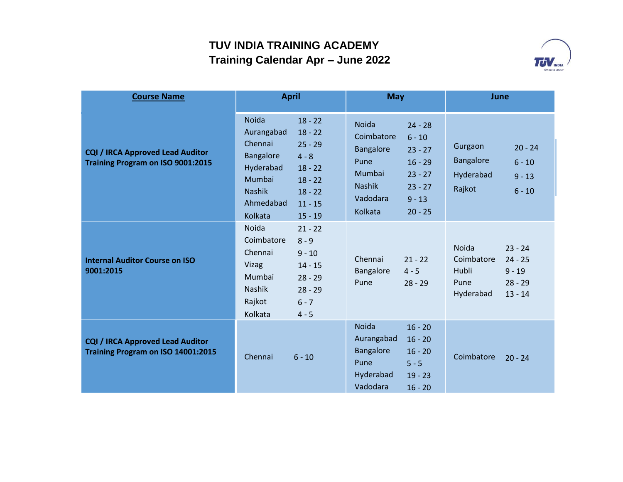

| <b>Course Name</b>                                                            | <b>April</b>                                                                                                                                                                                                                   | <b>May</b>                                                                                                                                                                                              | June                                                                                                                     |  |
|-------------------------------------------------------------------------------|--------------------------------------------------------------------------------------------------------------------------------------------------------------------------------------------------------------------------------|---------------------------------------------------------------------------------------------------------------------------------------------------------------------------------------------------------|--------------------------------------------------------------------------------------------------------------------------|--|
| <b>CQI / IRCA Approved Lead Auditor</b><br>Training Program on ISO 9001:2015  | Noida<br>$18 - 22$<br>Aurangabad<br>$18 - 22$<br>Chennai<br>$25 - 29$<br>Bangalore<br>$4 - 8$<br>Hyderabad<br>$18 - 22$<br>Mumbai<br>$18 - 22$<br><b>Nashik</b><br>$18 - 22$<br>Ahmedabad<br>$11 - 15$<br>Kolkata<br>$15 - 19$ | <b>Noida</b><br>$24 - 28$<br>Coimbatore<br>$6 - 10$<br>Bangalore<br>$23 - 27$<br>Pune<br>$16 - 29$<br>Mumbai<br>$23 - 27$<br><b>Nashik</b><br>$23 - 27$<br>Vadodara<br>$9 - 13$<br>Kolkata<br>$20 - 25$ | Gurgaon<br>$20 - 24$<br>Bangalore<br>$6 - 10$<br>Hyderabad<br>$9 - 13$<br>Rajkot<br>$6 - 10$                             |  |
| <b>Internal Auditor Course on ISO</b><br>9001:2015                            | <b>Noida</b><br>$21 - 22$<br>Coimbatore<br>$8 - 9$<br>Chennai<br>$9 - 10$<br>Vizag<br>$14 - 15$<br>Mumbai<br>$28 - 29$<br>Nashik<br>$28 - 29$<br>Rajkot<br>$6 - 7$<br>Kolkata<br>$4 - 5$                                       | Chennai<br>$21 - 22$<br>Bangalore<br>$4 - 5$<br>Pune<br>$28 - 29$                                                                                                                                       | <b>Noida</b><br>$23 - 24$<br>Coimbatore<br>$24 - 25$<br>Hubli<br>$9 - 19$<br>Pune<br>$28 - 29$<br>Hyderabad<br>$13 - 14$ |  |
| <b>CQI / IRCA Approved Lead Auditor</b><br>Training Program on ISO 14001:2015 | Chennai<br>$6 - 10$                                                                                                                                                                                                            | <b>Noida</b><br>$16 - 20$<br>Aurangabad<br>$16 - 20$<br><b>Bangalore</b><br>$16 - 20$<br>Pune<br>$5 - 5$<br>Hyderabad<br>$19 - 23$<br>Vadodara<br>$16 - 20$                                             | Coimbatore<br>$20 - 24$                                                                                                  |  |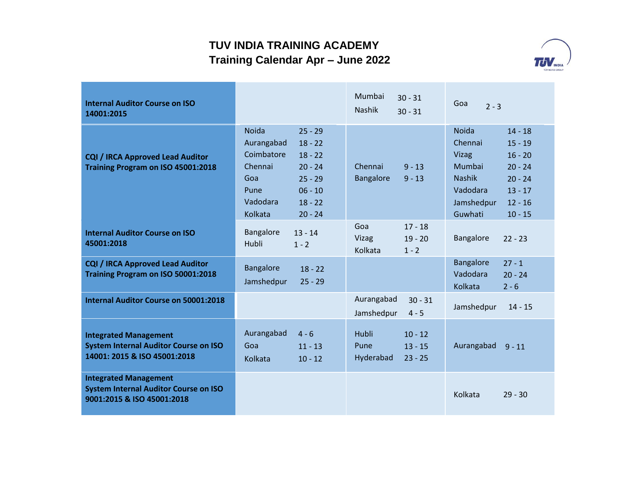

| <b>Internal Auditor Course on ISO</b><br>14001:2015                                                          |                                                                                                                                                                                                   | Mumbai<br>$30 - 31$<br><b>Nashik</b><br>$30 - 31$                 | Goa<br>$2 - 3$                                                                                                                                                                                           |  |
|--------------------------------------------------------------------------------------------------------------|---------------------------------------------------------------------------------------------------------------------------------------------------------------------------------------------------|-------------------------------------------------------------------|----------------------------------------------------------------------------------------------------------------------------------------------------------------------------------------------------------|--|
| <b>CQI / IRCA Approved Lead Auditor</b><br>Training Program on ISO 45001:2018                                | <b>Noida</b><br>$25 - 29$<br>Aurangabad<br>$18 - 22$<br>Coimbatore<br>$18 - 22$<br>Chennai<br>$20 - 24$<br>$25 - 29$<br>Goa<br>$06 - 10$<br>Pune<br>Vadodara<br>$18 - 22$<br>Kolkata<br>$20 - 24$ | Chennai<br>$9 - 13$<br><b>Bangalore</b><br>$9 - 13$               | <b>Noida</b><br>$14 - 18$<br>Chennai<br>$15 - 19$<br>Vizag<br>$16 - 20$<br>Mumbai<br>$20 - 24$<br><b>Nashik</b><br>$20 - 24$<br>Vadodara<br>$13 - 17$<br>$12 - 16$<br>Jamshedpur<br>Guwhati<br>$10 - 15$ |  |
| <b>Internal Auditor Course on ISO</b><br>45001:2018                                                          | Bangalore<br>$13 - 14$<br><b>Hubli</b><br>$1 - 2$                                                                                                                                                 | Goa<br>$17 - 18$<br>Vizag<br>$19 - 20$<br>Kolkata<br>$1 - 2$      | Bangalore<br>$22 - 23$                                                                                                                                                                                   |  |
| <b>CQI / IRCA Approved Lead Auditor</b><br>Training Program on ISO 50001:2018                                | Bangalore<br>$18 - 22$<br>$25 - 29$<br>Jamshedpur                                                                                                                                                 |                                                                   | Bangalore<br>$27 - 1$<br>Vadodara<br>$20 - 24$<br>Kolkata<br>$2 - 6$                                                                                                                                     |  |
| <b>Internal Auditor Course on 50001:2018</b>                                                                 |                                                                                                                                                                                                   | Aurangabad<br>$30 - 31$<br>Jamshedpur<br>$4 - 5$                  | Jamshedpur<br>$14 - 15$                                                                                                                                                                                  |  |
| <b>Integrated Management</b><br><b>System Internal Auditor Course on ISO</b><br>14001: 2015 & ISO 45001:2018 | Aurangabad<br>$4 - 6$<br>Goa<br>$11 - 13$<br>Kolkata<br>$10 - 12$                                                                                                                                 | Hubli<br>$10 - 12$<br>Pune<br>$13 - 15$<br>Hyderabad<br>$23 - 25$ | Aurangabad<br>$9 - 11$                                                                                                                                                                                   |  |
| <b>Integrated Management</b><br><b>System Internal Auditor Course on ISO</b><br>9001:2015 & ISO 45001:2018   |                                                                                                                                                                                                   |                                                                   | Kolkata<br>$29 - 30$                                                                                                                                                                                     |  |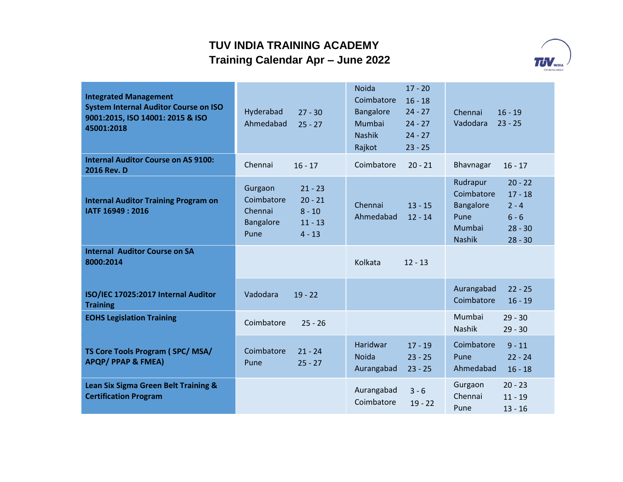

| <b>Integrated Management</b><br><b>System Internal Auditor Course on ISO</b><br>9001:2015, ISO 14001: 2015 & ISO<br>45001:2018 | Hyderabad<br>Ahmedabad                                | $27 - 30$<br>$25 - 27$                                      | <b>Noida</b><br>Coimbatore<br><b>Bangalore</b><br>Mumbai<br><b>Nashik</b><br>Rajkot | $17 - 20$<br>$16 - 18$<br>$24 - 27$<br>$24 - 27$<br>$24 - 27$<br>$23 - 25$ | Chennai<br>Vadodara                                                    | $16 - 19$<br>$23 - 25$                                                 |
|--------------------------------------------------------------------------------------------------------------------------------|-------------------------------------------------------|-------------------------------------------------------------|-------------------------------------------------------------------------------------|----------------------------------------------------------------------------|------------------------------------------------------------------------|------------------------------------------------------------------------|
| <b>Internal Auditor Course on AS 9100:</b><br><b>2016 Rev. D</b>                                                               | Chennai                                               | $16 - 17$                                                   | Coimbatore                                                                          | $20 - 21$                                                                  | Bhavnagar                                                              | $16 - 17$                                                              |
| <b>Internal Auditor Training Program on</b><br>IATF 16949: 2016                                                                | Gurgaon<br>Coimbatore<br>Chennai<br>Bangalore<br>Pune | $21 - 23$<br>$20 - 21$<br>$8 - 10$<br>$11 - 13$<br>$4 - 13$ | Chennai<br>Ahmedabad                                                                | $13 - 15$<br>$12 - 14$                                                     | Rudrapur<br>Coimbatore<br>Bangalore<br>Pune<br>Mumbai<br><b>Nashik</b> | $20 - 22$<br>$17 - 18$<br>$2 - 4$<br>$6 - 6$<br>$28 - 30$<br>$28 - 30$ |
| <b>Internal Auditor Course on SA</b><br>8000:2014                                                                              |                                                       |                                                             | Kolkata                                                                             | $12 - 13$                                                                  |                                                                        |                                                                        |
| ISO/IEC 17025:2017 Internal Auditor<br><b>Training</b>                                                                         | Vadodara                                              | $19 - 22$                                                   |                                                                                     |                                                                            | Aurangabad<br>Coimbatore                                               | $22 - 25$<br>$16 - 19$                                                 |
| <b>EOHS Legislation Training</b>                                                                                               | Coimbatore                                            | $25 - 26$                                                   |                                                                                     |                                                                            | Mumbai<br>Nashik                                                       | $29 - 30$<br>$29 - 30$                                                 |
| TS Core Tools Program (SPC/MSA/<br><b>APQP/ PPAP &amp; FMEA)</b>                                                               | Coimbatore<br>Pune                                    | $21 - 24$<br>$25 - 27$                                      | Haridwar<br><b>Noida</b><br>Aurangabad                                              | $17 - 19$<br>$23 - 25$<br>$23 - 25$                                        | Coimbatore<br>Pune<br>Ahmedabad                                        | $9 - 11$<br>$22 - 24$<br>$16 - 18$                                     |
| Lean Six Sigma Green Belt Training &<br><b>Certification Program</b>                                                           |                                                       |                                                             | Aurangabad<br>Coimbatore                                                            | $3 - 6$<br>$19 - 22$                                                       | Gurgaon<br>Chennai<br>Pune                                             | $20 - 23$<br>$11 - 19$<br>$13 - 16$                                    |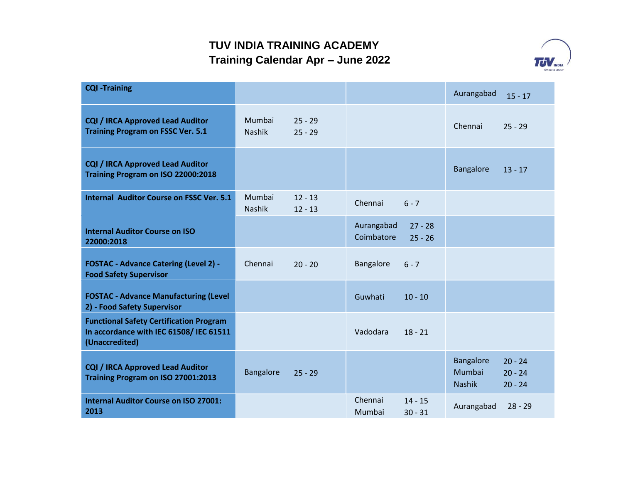

| <b>CQI -Training</b>                                                                                        |                         |                        |                          |                        | Aurangabad                                  | $15 - 17$                           |
|-------------------------------------------------------------------------------------------------------------|-------------------------|------------------------|--------------------------|------------------------|---------------------------------------------|-------------------------------------|
| <b>CQI / IRCA Approved Lead Auditor</b><br><b>Training Program on FSSC Ver. 5.1</b>                         | Mumbai<br><b>Nashik</b> | $25 - 29$<br>$25 - 29$ |                          |                        | Chennai                                     | $25 - 29$                           |
| <b>CQI / IRCA Approved Lead Auditor</b><br>Training Program on ISO 22000:2018                               |                         |                        |                          |                        | Bangalore                                   | $13 - 17$                           |
| <b>Internal Auditor Course on FSSC Ver. 5.1</b>                                                             | Mumbai<br><b>Nashik</b> | $12 - 13$<br>$12 - 13$ | Chennai                  | $6 - 7$                |                                             |                                     |
| <b>Internal Auditor Course on ISO</b><br>22000:2018                                                         |                         |                        | Aurangabad<br>Coimbatore | $27 - 28$<br>$25 - 26$ |                                             |                                     |
| <b>FOSTAC - Advance Catering (Level 2) -</b><br><b>Food Safety Supervisor</b>                               | Chennai                 | $20 - 20$              | Bangalore                | $6 - 7$                |                                             |                                     |
| <b>FOSTAC - Advance Manufacturing (Level</b><br>2) - Food Safety Supervisor                                 |                         |                        | Guwhati                  | $10 - 10$              |                                             |                                     |
| <b>Functional Safety Certification Program</b><br>In accordance with IEC 61508/ IEC 61511<br>(Unaccredited) |                         |                        | Vadodara                 | $18 - 21$              |                                             |                                     |
| <b>CQI / IRCA Approved Lead Auditor</b><br>Training Program on ISO 27001:2013                               | Bangalore               | $25 - 29$              |                          |                        | <b>Bangalore</b><br>Mumbai<br><b>Nashik</b> | $20 - 24$<br>$20 - 24$<br>$20 - 24$ |
| <b>Internal Auditor Course on ISO 27001:</b><br>2013                                                        |                         |                        | Chennai<br>Mumbai        | $14 - 15$<br>$30 - 31$ | Aurangabad                                  | $28 - 29$                           |